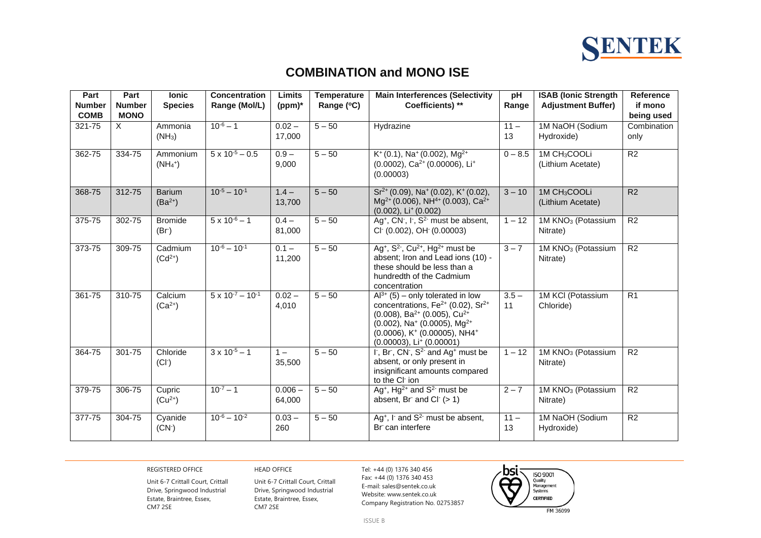

## **COMBINATION and MONO ISE**

| Part<br><b>Number</b> | Part<br><b>Number</b> | <b>lonic</b><br><b>Species</b> | <b>Concentration</b><br>Range (Mol/L) | Limits<br>(ppm)*    | <b>Temperature</b><br>Range (°C) | <b>Main Interferences (Selectivity</b><br>Coefficients) **                                                                                                                                                                                                                                                                        | pH<br>Range   | <b>ISAB (Ionic Strength</b><br><b>Adjustment Buffer)</b> | Reference<br>if mono |
|-----------------------|-----------------------|--------------------------------|---------------------------------------|---------------------|----------------------------------|-----------------------------------------------------------------------------------------------------------------------------------------------------------------------------------------------------------------------------------------------------------------------------------------------------------------------------------|---------------|----------------------------------------------------------|----------------------|
| <b>COMB</b>           | <b>MONO</b>           |                                |                                       |                     |                                  |                                                                                                                                                                                                                                                                                                                                   |               |                                                          | being used           |
| 321-75                | X                     | Ammonia<br>$(NH_3)$            | $10^{-6} - 1$                         | $0.02 -$<br>17,000  | $5 - 50$                         | Hydrazine                                                                                                                                                                                                                                                                                                                         | $11 -$<br>13  | 1M NaOH (Sodium<br>Hydroxide)                            | Combination<br>only  |
| 362-75                | 334-75                | Ammonium<br>$(NH4+)$           | $5 \times 10^{-5} - 0.5$              | $0.9 -$<br>9,000    | $5 - 50$                         | $K^+(0.1)$ , Na <sup>+</sup> (0.002), Mg <sup>2+</sup><br>$(0.0002)$ , Ca <sup>2+</sup> $(0.00006)$ , Li <sup>+</sup><br>(0.00003)                                                                                                                                                                                                | $0 - 8.5$     | 1M CH <sub>3</sub> COOLi<br>(Lithium Acetate)            | R2                   |
| 368-75                | 312-75                | <b>Barium</b><br>$(Ba^{2+})$   | $10^{-5} - 10^{-1}$                   | $1.4 -$<br>13,700   | $5 - 50$                         | $Sr^{2+}(0.09)$ , Na <sup>+</sup> (0.02), K <sup>+</sup> (0.02),<br>$Mg^{2+}(0.006)$ , NH <sup>4+</sup> (0.003), Ca <sup>2+</sup><br>$(0.002)$ , Li <sup>+</sup> $(0.002)$                                                                                                                                                        | $3 - 10$      | 1M CH <sub>3</sub> COOLi<br>(Lithium Acetate)            | R2                   |
| 375-75                | 302-75                | <b>Bromide</b><br>(Br)         | $5 \times 10^{-6} - 1$                | $0.4 -$<br>81,000   | $5 - 50$                         | Ag <sup>+</sup> , CN <sup>-</sup> , I <sup>-</sup> , S <sup>2-</sup> must be absent,<br>CI <sup>-</sup> (0.002), OH <sup>-</sup> (0.00003)                                                                                                                                                                                        | $1 - 12$      | 1M KNO <sub>3</sub> (Potassium<br>Nitrate)               | R2                   |
| 373-75                | 309-75                | Cadmium<br>$(Cd^{2+})$         | $10^{-6} - 10^{-1}$                   | $0.1 -$<br>11,200   | $5 - 50$                         | Ag <sup>+</sup> , $S^2$ <sup>-</sup> , $Cu^{2+}$ , $Hg^{2+}$ must be<br>absent; Iron and Lead ions (10) -<br>these should be less than a<br>hundredth of the Cadmium<br>concentration                                                                                                                                             | $3 - 7$       | 1M KNO <sub>3</sub> (Potassium<br>Nitrate)               | $\overline{R2}$      |
| 361-75                | 310-75                | Calcium<br>$(Ca^{2+})$         | $5 \times 10^{-7} - 10^{-1}$          | $0.02 -$<br>4,010   | $5 - 50$                         | $Al^{3+}$ (5) – only tolerated in low<br>concentrations, Fe <sup>2+</sup> (0.02), Sr <sup>2+</sup><br>$(0.008)$ , Ba <sup>2+</sup> (0.005), Cu <sup>2+</sup><br>$(0.002)$ , Na <sup>+</sup> (0.0005), Mg <sup>2+</sup><br>$(0.0006)$ , K <sup>+</sup> $(0.00005)$ , NH4 <sup>+</sup><br>$(0.00003)$ , Li <sup>+</sup> $(0.00001)$ | $3.5 -$<br>11 | 1M KCI (Potassium<br>Chloride)                           | R1                   |
| 364-75                | 301-75                | Chloride<br>$(Cl-)$            | $3 \times 10^{-5} - 1$                | $1 -$<br>35,500     | $5 - 50$                         | I, Br, CN, S <sup>2-</sup> and Ag <sup>+</sup> must be<br>absent, or only present in<br>insignificant amounts compared<br>to the CI ion                                                                                                                                                                                           | $1 - 12$      | 1M KNO <sub>3</sub> (Potassium<br>Nitrate)               | R <sub>2</sub>       |
| 379-75                | 306-75                | Cupric<br>$(Cu^{2+})$          | $10^{-7} - 1$                         | $0.006 -$<br>64,000 | $5 - 50$                         | Ag <sup>+</sup> , Hg <sup>2+</sup> and $S2$ must be<br>absent, Br and Cl $(> 1)$                                                                                                                                                                                                                                                  | $2 - 7$       | 1M KNO <sub>3</sub> (Potassium<br>Nitrate)               | R2                   |
| 377-75                | 304-75                | Cyanide<br>(CN <sup>2</sup> )  | $10^{-6} - 10^{-2}$                   | $0.03 -$<br>260     | $5 - 50$                         | Ag <sup>+</sup> , $\Gamma$ and $S^2$ must be absent,<br>Br can interfere                                                                                                                                                                                                                                                          | $11 -$<br>13  | 1M NaOH (Sodium<br>Hydroxide)                            | R2                   |

REGISTERED OFFICE HEAD OFFICE HEAD OFFICE Tel: +44 (0) 1376 340 456

Unit 6-7 Crittall Court, Crittall Drive, Springwood Industrial Estate, Braintree, Essex, CM7 2SE

Unit 6-7 Crittall Court, Crittall Drive, Springwood Industrial Estate, Braintree, Essex, CM7 2SE

Fax: +44 (0) 1376 340 453 E-mail: sales@sentek.co.uk Website: www.sentek.co.uk Company Registration No. 02753857



FM 36099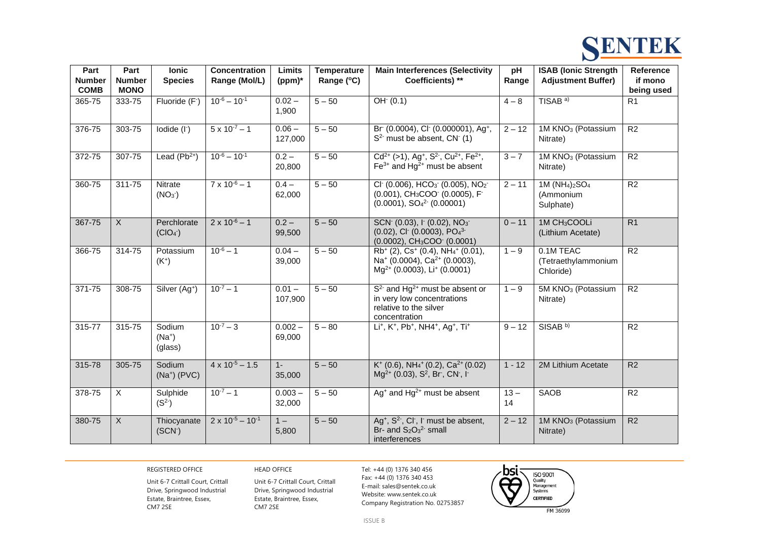

| Part<br><b>Number</b> | Part<br><b>Number</b> | <b>lonic</b><br><b>Species</b>          | <b>Concentration</b><br>Range (Mol/L) | Limits<br>$(ppm)*$  | <b>Temperature</b><br>Range (°C) | <b>Main Interferences (Selectivity</b><br>Coefficients) **                                                                                                                                                        | pH<br>Range  | <b>ISAB (Ionic Strength</b><br><b>Adjustment Buffer)</b>                     | <b>Reference</b><br>if mono |
|-----------------------|-----------------------|-----------------------------------------|---------------------------------------|---------------------|----------------------------------|-------------------------------------------------------------------------------------------------------------------------------------------------------------------------------------------------------------------|--------------|------------------------------------------------------------------------------|-----------------------------|
| <b>COMB</b>           | <b>MONO</b>           |                                         |                                       |                     |                                  |                                                                                                                                                                                                                   |              |                                                                              | being used                  |
| 365-75                | 333-75                | Fluoride (F <sup>-</sup> )              | $10^{-6} - 10^{-1}$                   | $0.02 -$<br>1,900   | $5 - 50$                         | $OH-(0.1)$                                                                                                                                                                                                        | $4 - 8$      | TISAB <sup>a)</sup>                                                          | R1                          |
| 376-75                | 303-75                | $I$ odide $(I1)$                        | $5 \times 10^{-7} - 1$                | $0.06 -$<br>127,000 | $5 - 50$                         | Br (0.0004), Cl (0.000001), Ag <sup>+</sup> ,<br>$S2$ must be absent, CN $(1)$                                                                                                                                    | $2 - 12$     | 1M KNO <sub>3</sub> (Potassium<br>Nitrate)                                   | R <sub>2</sub>              |
| 372-75                | 307-75                | Lead $(Pb2+)$                           | $10^{-6} - 10^{-1}$                   | $0.2 -$<br>20,800   | $5 - 50$                         | $Cd^{2+}$ (>1), Ag <sup>+</sup> , S <sup>2-</sup> , Cu <sup>2+</sup> , Fe <sup>2+</sup> ,<br>$Fe3+$ and Hg <sup>2+</sup> must be absent                                                                           | $3 - 7$      | 1M KNO <sub>3</sub> (Potassium<br>Nitrate)                                   | R <sub>2</sub>              |
| 360-75                | 311-75                | Nitrate<br>(NO <sub>3</sub> )           | $7 \times 10^{-6} - 1$                | $0.4 -$<br>62,000   | $5 - 50$                         | Cl (0.006), $HCO3$ (0.005), $NO2$<br>(0.001), CH <sub>3</sub> COO (0.0005), F<br>$(0.0001)$ , $SO42$ (0.00001)                                                                                                    | $2 - 11$     | 1M (NH <sub>4</sub> ) <sub>2</sub> SO <sub>4</sub><br>(Ammonium<br>Sulphate) | R <sub>2</sub>              |
| 367-75                | $\overline{X}$        | Perchlorate<br>$(CIO4$ <sup>-</sup> $)$ | $2 \times 10^{-6} - 1$                | $0.2 -$<br>99,500   | $5 - 50$                         | SCN <sup>-</sup> (0.03), I <sup>-</sup> (0.02), NO <sub>3</sub> <sup>-</sup><br>$(0.02)$ , Cl <sup>-</sup> $(0.0003)$ , PO <sub>4</sub> 3-<br>$(0.0002)$ , CH <sub>3</sub> COO <sup><math>-</math></sup> (0.0001) | $0 - 11$     | 1M CH <sub>3</sub> COOLi<br>(Lithium Acetate)                                | R1                          |
| 366-75                | 314-75                | Potassium<br>$(K^+)$                    | $10^{-6} - 1$                         | $0.04 -$<br>39,000  | $5 - 50$                         | $Rb^{+}(2)$ , Cs <sup>+</sup> (0.4), NH <sub>4</sub> <sup>+</sup> (0.01),<br>Na <sup>+</sup> (0.0004), Ca <sup>2+</sup> (0.0003),<br>Mg <sup>2+</sup> (0.0003), Li <sup>+</sup> (0.0001)                          | $1 - 9$      | 0.1M TEAC<br>(Tetraethylammonium<br>Chloride)                                | R <sub>2</sub>              |
| 371-75                | 308-75                | Silver (Ag <sup>+</sup> )               | $10^{-7} - 1$                         | $0.01 -$<br>107,900 | $5 - 50$                         | $S2$ and Hg <sup>2+</sup> must be absent or<br>in very low concentrations<br>relative to the silver<br>concentration                                                                                              | $1 - 9$      | 5M KNO <sub>3</sub> (Potassium<br>Nitrate)                                   | R2                          |
| 315-77                | 315-75                | Sodium<br>$(Na^+)$<br>(glass)           | $10^{-7} - 3$                         | $0.002 -$<br>69,000 | $5 - 80$                         | Li <sup>+</sup> , K <sup>+</sup> , Pb <sup>+</sup> , NH4 <sup>+</sup> , Ag <sup>+</sup> , Ti <sup>+</sup>                                                                                                         | $9 - 12$     | SISAB <sup>b)</sup>                                                          | R <sub>2</sub>              |
| 315-78                | 305-75                | Sodium<br>$(Na^+)$ (PVC)                | $4 \times 10^{-5} - 1.5$              | $1 -$<br>35,000     | $5 - 50$                         | $K^+$ (0.6), NH <sub>4</sub> <sup>+</sup> (0.2), Ca <sup>2+</sup> (0.02)<br>$Mg^{2+}$ (0.03), S <sup>2</sup> , Br, CN, I <sup>-</sup>                                                                             | $1 - 12$     | 2M Lithium Acetate                                                           | R2                          |
| 378-75                | $\overline{X}$        | Sulphide<br>$(S^2)$                     | $10^{-7} - 1$                         | $0.003 -$<br>32,000 | $5 - 50$                         | $Ag+$ and Hg <sup>2+</sup> must be absent                                                                                                                                                                         | $13 -$<br>14 | <b>SAOB</b>                                                                  | R <sub>2</sub>              |
| 380-75                | $\overline{X}$        | Thiocyanate<br>(SCN <sub>1</sub> )      | $2 \times 10^{-5} - 10^{-1}$          | $1 -$<br>5,800      | $5 - 50$                         | Ag <sup>+</sup> , S <sup>2-</sup> , Cl <sup>-</sup> , I <sup>-</sup> must be absent,<br>Br- and $S_2O_3^2$ - small<br>interferences                                                                               | $2 - 12$     | 1M KNO <sub>3</sub> (Potassium<br>Nitrate)                                   | R2                          |

REGISTERED OFFICE HEAD OFFICE HEAD OFFICE Tel: +44 (0) 1376 340 456

Unit 6-7 Crittall Court, Crittall Drive, Springwood Industrial Estate, Braintree, Essex, CM7 2SE

Unit 6-7 Crittall Court, Crittall Drive, Springwood Industrial Estate, Braintree, Essex, CM7 2SE

Fax: +44 (0) 1376 340 453 E-mail: sales@sentek.co.uk Website: www.sentek.co.uk Company Registration No. 02753857



FM 36099